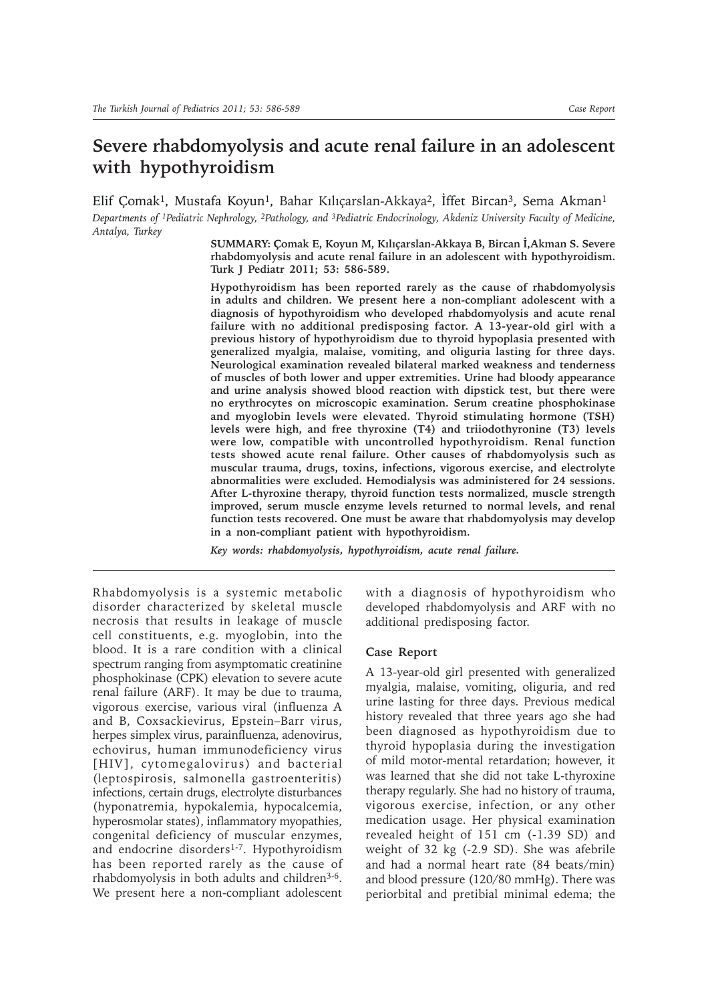## **Severe rhabdomyolysis and acute renal failure in an adolescent with hypothyroidism**

Elif Çomak<sup>1</sup>, Mustafa Koyun<sup>1</sup>, Bahar Kılıçarslan-Akkaya<sup>2</sup>, İffet Bircan<sup>3</sup>, Sema Akman<sup>1</sup> *Departments of 1Pediatric Nephrology, 2Pathology, and 3Pediatric Endocrinology, Akdeniz University Faculty of Medicine, Antalya, Turkey*

> **SUMMARY: Çomak E, Koyun M, Kılıçarslan-Akkaya B, Bircan İ,Akman S. Severe rhabdomyolysis and acute renal failure in an adolescent with hypothyroidism. Turk J Pediatr 2011; 53: 586-589.**

> **Hypothyroidism has been reported rarely as the cause of rhabdomyolysis in adults and children. We present here a non-compliant adolescent with a diagnosis of hypothyroidism who developed rhabdomyolysis and acute renal failure with no additional predisposing factor. A 13-year-old girl with a previous history of hypothyroidism due to thyroid hypoplasia presented with generalized myalgia, malaise, vomiting, and oliguria lasting for three days. Neurological examination revealed bilateral marked weakness and tenderness of muscles of both lower and upper extremities. Urine had bloody appearance and urine analysis showed blood reaction with dipstick test, but there were no erythrocytes on microscopic examination. Serum creatine phosphokinase and myoglobin levels were elevated. Thyroid stimulating hormone (TSH) levels were high, and free thyroxine (T4) and triiodothyronine (T3) levels were low, compatible with uncontrolled hypothyroidism. Renal function tests showed acute renal failure. Other causes of rhabdomyolysis such as muscular trauma, drugs, toxins, infections, vigorous exercise, and electrolyte abnormalities were excluded. Hemodialysis was administered for 24 sessions. After L-thyroxine therapy, thyroid function tests normalized, muscle strength improved, serum muscle enzyme levels returned to normal levels, and renal function tests recovered. One must be aware that rhabdomyolysis may develop in a non-compliant patient with hypothyroidism.**

*Key words: rhabdomyolysis, hypothyroidism, acute renal failure.*

Rhabdomyolysis is a systemic metabolic disorder characterized by skeletal muscle necrosis that results in leakage of muscle cell constituents, e.g. myoglobin, into the blood. It is a rare condition with a clinical spectrum ranging from asymptomatic creatinine phosphokinase (CPK) elevation to severe acute renal failure (ARF). It may be due to trauma, vigorous exercise, various viral (influenza A and B, Coxsackievirus, Epstein–Barr virus, herpes simplex virus, parainfluenza, adenovirus, echovirus, human immunodeficiency virus [HIV], cytomegalovirus) and bacterial (leptospirosis, salmonella gastroenteritis) infections, certain drugs, electrolyte disturbances (hyponatremia, hypokalemia, hypocalcemia, hyperosmolar states), inflammatory myopathies, congenital deficiency of muscular enzymes, and endocrine disorders<sup>1-7</sup>. Hypothyroidism has been reported rarely as the cause of rhabdomyolysis in both adults and children3-6. We present here a non-compliant adolescent with a diagnosis of hypothyroidism who developed rhabdomyolysis and ARF with no additional predisposing factor.

## **Case Report**

A 13-year-old girl presented with generalized myalgia, malaise, vomiting, oliguria, and red urine lasting for three days. Previous medical history revealed that three years ago she had been diagnosed as hypothyroidism due to thyroid hypoplasia during the investigation of mild motor-mental retardation; however, it was learned that she did not take L-thyroxine therapy regularly. She had no history of trauma, vigorous exercise, infection, or any other medication usage. Her physical examination revealed height of 151 cm (-1.39 SD) and weight of 32 kg (-2.9 SD). She was afebrile and had a normal heart rate (84 beats/min) and blood pressure (120/80 mmHg). There was periorbital and pretibial minimal edema; the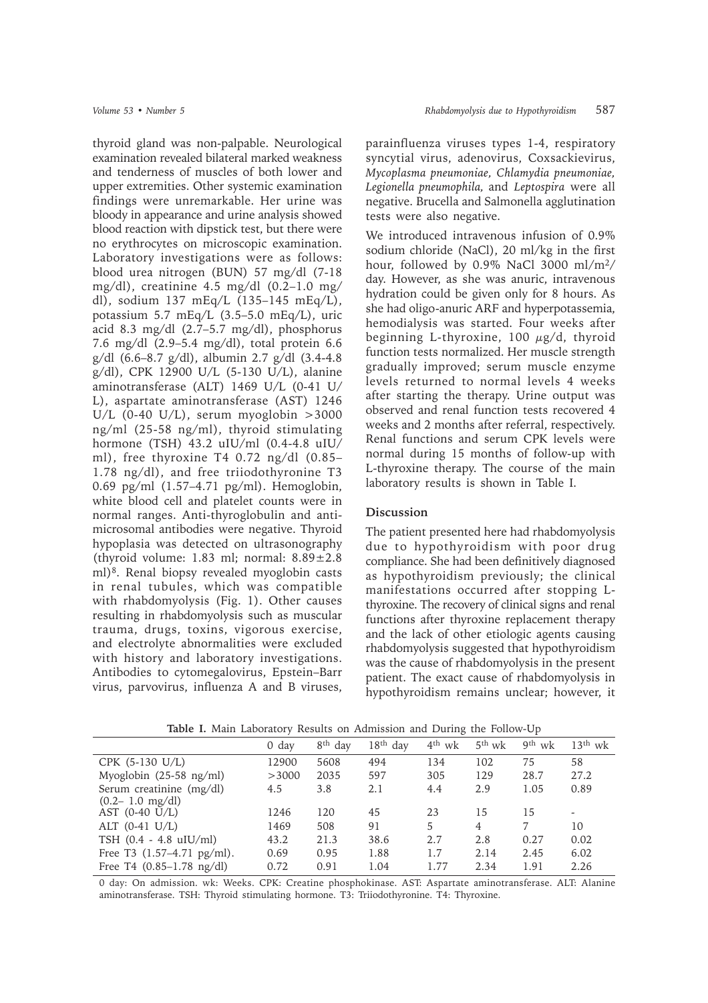thyroid gland was non-palpable. Neurological examination revealed bilateral marked weakness and tenderness of muscles of both lower and upper extremities. Other systemic examination findings were unremarkable. Her urine was bloody in appearance and urine analysis showed blood reaction with dipstick test, but there were no erythrocytes on microscopic examination. Laboratory investigations were as follows: blood urea nitrogen (BUN) 57 mg/dl (7-18 mg/dl), creatinine  $4.5 \text{ mg/dl}$  (0.2–1.0 mg/ dl), sodium 137 mEq/L (135–145 mEq/L), potassium 5.7 mEq/L (3.5–5.0 mEq/L), uric acid 8.3 mg/dl (2.7–5.7 mg/dl), phosphorus 7.6 mg/dl (2.9–5.4 mg/dl), total protein 6.6 g/dl (6.6–8.7 g/dl), albumin 2.7 g/dl (3.4-4.8 g/dl), CPK 12900 U/L (5-130 U/L), alanine aminotransferase (ALT) 1469 U/L (0-41 U/ L), aspartate aminotransferase (AST) 1246 U/L  $(0-40 \text{ U/L})$ , serum myoglobin >3000 ng/ml (25-58 ng/ml), thyroid stimulating hormone (TSH) 43.2 uIU/ml (0.4-4.8 uIU/ ml), free thyroxine T4 0.72 ng/dl (0.85– 1.78 ng/dl), and free triiodothyronine T3 0.69 pg/ml (1.57–4.71 pg/ml). Hemoglobin, white blood cell and platelet counts were in normal ranges. Anti-thyroglobulin and antimicrosomal antibodies were negative. Thyroid hypoplasia was detected on ultrasonography (thyroid volume: 1.83 ml; normal:  $8.89 \pm 2.8$ ml)8. Renal biopsy revealed myoglobin casts in renal tubules, which was compatible with rhabdomyolysis (Fig. 1). Other causes resulting in rhabdomyolysis such as muscular trauma, drugs, toxins, vigorous exercise, and electrolyte abnormalities were excluded with history and laboratory investigations. Antibodies to cytomegalovirus, Epstein–Barr virus, parvovirus, influenza A and B viruses, parainfluenza viruses types 1-4, respiratory syncytial virus, adenovirus, Coxsackievirus, *Mycoplasma pneumoniae, Chlamydia pneumoniae, Legionella pneumophila,* and *Leptospira* were all negative. Brucella and Salmonella agglutination tests were also negative.

We introduced intravenous infusion of 0.9% sodium chloride (NaCl), 20 ml/kg in the first hour, followed by 0.9% NaCl 3000 ml/m2/ day. However, as she was anuric, intravenous hydration could be given only for 8 hours. As she had oligo-anuric ARF and hyperpotassemia, hemodialysis was started. Four weeks after beginning L-thyroxine, 100  $\mu$ g/d, thyroid function tests normalized. Her muscle strength gradually improved; serum muscle enzyme levels returned to normal levels 4 weeks after starting the therapy. Urine output was observed and renal function tests recovered 4 weeks and 2 months after referral, respectively. Renal functions and serum CPK levels were normal during 15 months of follow-up with L-thyroxine therapy. The course of the main laboratory results is shown in Table I.

## **Discussion**

The patient presented here had rhabdomyolysis due to hypothyroidism with poor drug compliance. She had been definitively diagnosed as hypothyroidism previously; the clinical manifestations occurred after stopping Lthyroxine. The recovery of clinical signs and renal functions after thyroxine replacement therapy and the lack of other etiologic agents causing rhabdomyolysis suggested that hypothyroidism was the cause of rhabdomyolysis in the present patient. The exact cause of rhabdomyolysis in hypothyroidism remains unclear; however, it

|                                                 | 0 day | 8 <sup>th</sup> day | $18th$ day | $4th$ wk | $5th$ wk | 9 <sup>th</sup> wk | $13th$ wk |
|-------------------------------------------------|-------|---------------------|------------|----------|----------|--------------------|-----------|
| $CPK$ (5-130 U/L)                               | 12900 | 5608                | 494        | 134      | 102      | 75                 | 58        |
| Myoglobin (25-58 ng/ml)                         | >3000 | 2035                | 597        | 305      | 129      | 28.7               | 27.2      |
| Serum creatinine (mg/dl)<br>$(0.2 - 1.0$ mg/dl) | 4.5   | 3.8                 | 2.1        | 4.4      | 2.9      | 1.05               | 0.89      |
| AST $(0-40 \text{ U/L})$                        | 1246  | 120                 | 45         | 23       | 15       | 15                 |           |
| ALT $(0-41 \text{ U/L})$                        | 1469  | 508                 | 91         | 5        | 4        | 7                  | 10        |
| TSH $(0.4 - 4.8 \text{ uIU/ml})$                | 43.2  | 21.3                | 38.6       | 2.7      | 2.8      | 0.27               | 0.02      |
| Free T3 $(1.57-4.71 \text{ pg/ml})$ .           | 0.69  | 0.95                | 1.88       | 1.7      | 2.14     | 2.45               | 6.02      |
| Free T4 $(0.85-1.78 \text{ ng/dl})$             | 0.72  | 0.91                | 1.04       | 1.77     | 2.34     | 1.91               | 2.26      |

**Table I.** Main Laboratory Results on Admission and During the Follow-Up

0 day: On admission. wk: Weeks. CPK: Creatine phosphokinase. AST: Aspartate aminotransferase. ALT: Alanine aminotransferase. TSH: Thyroid stimulating hormone. T3: Triiodothyronine. T4: Thyroxine.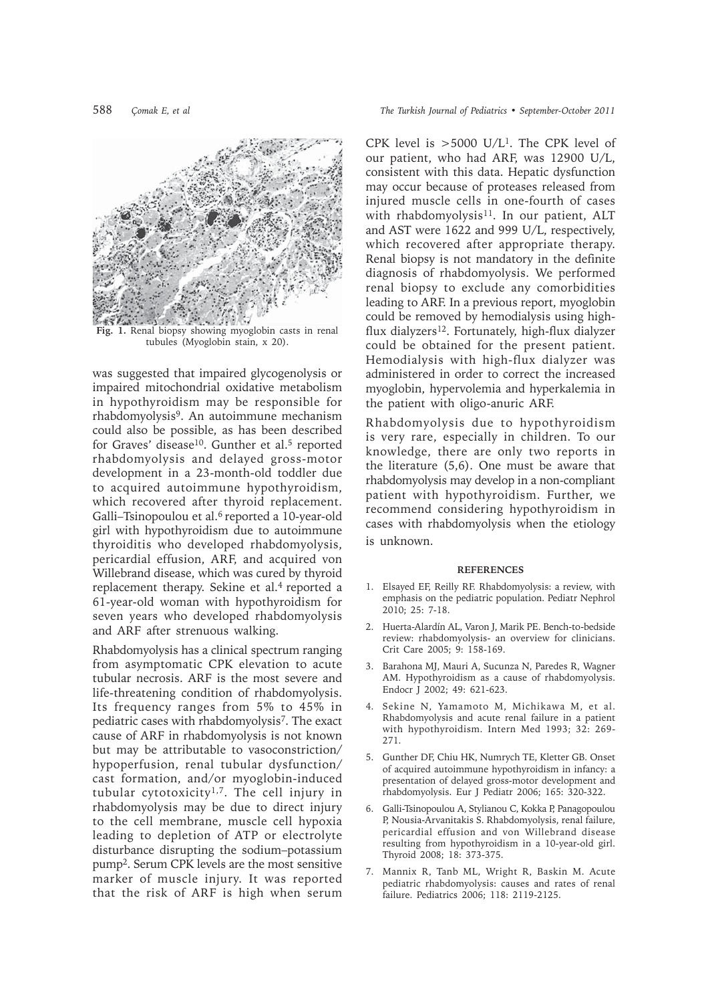

**Fig. 1.** Renal biopsy showing myoglobin casts in renal tubules (Myoglobin stain, x 20).

was suggested that impaired glycogenolysis or impaired mitochondrial oxidative metabolism in hypothyroidism may be responsible for rhabdomyolysis9. An autoimmune mechanism could also be possible, as has been described for Graves' disease<sup>10</sup>. Gunther et al.<sup>5</sup> reported rhabdomyolysis and delayed gross-motor development in a 23-month-old toddler due to acquired autoimmune hypothyroidism, which recovered after thyroid replacement. Galli–Tsinopoulou et al.6 reported a 10-year-old girl with hypothyroidism due to autoimmune thyroiditis who developed rhabdomyolysis, pericardial effusion, ARF, and acquired von Willebrand disease, which was cured by thyroid replacement therapy. Sekine et al.<sup>4</sup> reported a 61-year-old woman with hypothyroidism for seven years who developed rhabdomyolysis and ARF after strenuous walking.

Rhabdomyolysis has a clinical spectrum ranging from asymptomatic CPK elevation to acute tubular necrosis. ARF is the most severe and life-threatening condition of rhabdomyolysis. Its frequency ranges from 5% to 45% in pediatric cases with rhabdomyolysis7. The exact cause of ARF in rhabdomyolysis is not known but may be attributable to vasoconstriction/ hypoperfusion, renal tubular dysfunction/ cast formation, and/or myoglobin-induced tubular cytotoxicity<sup>1,7</sup>. The cell injury in rhabdomyolysis may be due to direct injury to the cell membrane, muscle cell hypoxia leading to depletion of ATP or electrolyte disturbance disrupting the sodium–potassium pump2. Serum CPK levels are the most sensitive marker of muscle injury. It was reported that the risk of ARF is high when serum

CPK level is  $>5000$  U/L<sup>1</sup>. The CPK level of our patient, who had ARF, was 12900 U/L, consistent with this data. Hepatic dysfunction may occur because of proteases released from injured muscle cells in one-fourth of cases with rhabdomyolysis<sup>11</sup>. In our patient, ALT and AST were 1622 and 999 U/L, respectively, which recovered after appropriate therapy. Renal biopsy is not mandatory in the definite diagnosis of rhabdomyolysis. We performed renal biopsy to exclude any comorbidities leading to ARF. In a previous report, myoglobin could be removed by hemodialysis using highflux dialyzers<sup>12</sup>. Fortunately, high-flux dialyzer could be obtained for the present patient. Hemodialysis with high-flux dialyzer was administered in order to correct the increased myoglobin, hypervolemia and hyperkalemia in the patient with oligo-anuric ARF.

Rhabdomyolysis due to hypothyroidism is very rare, especially in children. To our knowledge, there are only two reports in the literature (5,6). One must be aware that rhabdomyolysis may develop in a non-compliant patient with hypothyroidism. Further, we recommend considering hypothyroidism in cases with rhabdomyolysis when the etiology is unknown.

## **REFERENCES**

- 1. Elsayed EF, Reilly RF. Rhabdomyolysis: a review, with emphasis on the pediatric population. Pediatr Nephrol 2010; 25: 7-18.
- 2. Huerta-Alardín AL, Varon J, Marik PE. Bench-to-bedside review: rhabdomyolysis- an overview for clinicians. Crit Care 2005; 9: 158-169.
- 3. Barahona MJ, Mauri A, Sucunza N, Paredes R, Wagner AM. Hypothyroidism as a cause of rhabdomyolysis. Endocr J 2002; 49: 621-623.
- 4. Sekine N, Yamamoto M, Michikawa M, et al. Rhabdomyolysis and acute renal failure in a patient with hypothyroidism. Intern Med 1993; 32: 269- 271.
- 5. Gunther DF, Chiu HK, Numrych TE, Kletter GB. Onset of acquired autoimmune hypothyroidism in infancy: a presentation of delayed gross-motor development and rhabdomyolysis. Eur J Pediatr 2006; 165: 320-322.
- 6. Galli-Tsinopoulou A, Stylianou C, Kokka P, Panagopoulou P, Nousia-Arvanitakis S. Rhabdomyolysis, renal failure, pericardial effusion and von Willebrand disease resulting from hypothyroidism in a 10-year-old girl. Thyroid 2008; 18: 373-375.
- 7. Mannix R, Tanb ML, Wright R, Baskin M. Acute pediatric rhabdomyolysis: causes and rates of renal failure. Pediatrics 2006; 118: 2119-2125.